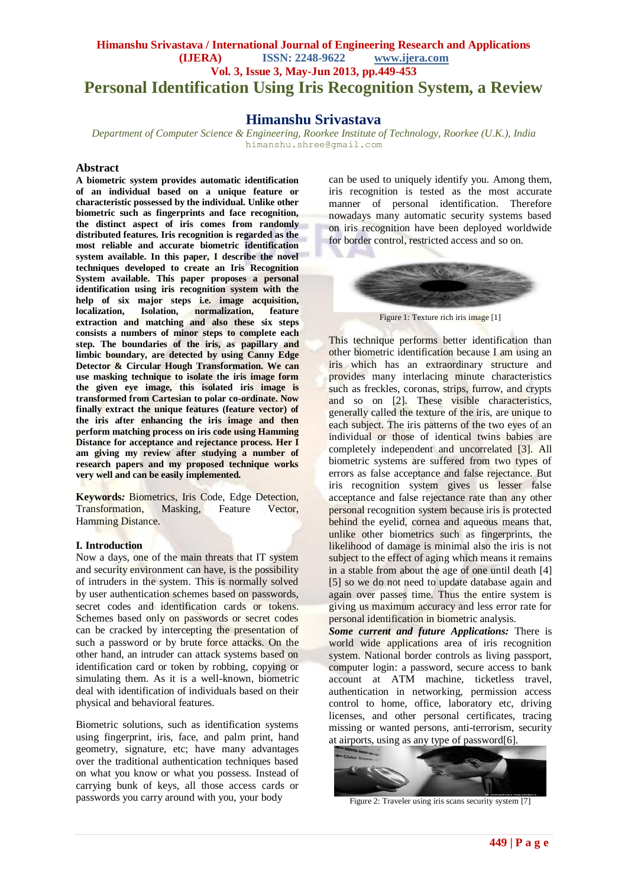# **Himanshu Srivastava / International Journal of Engineering Research and Applications (IJERA) ISSN: 2248-9622 www.ijera.com Vol. 3, Issue 3, May-Jun 2013, pp.449-453 Personal Identification Using Iris Recognition System, a Review**

# **Himanshu Srivastava**

*Department of Computer Science & Engineering, Roorkee Institute of Technology, Roorkee (U.K.), India* [himanshu.shree@gmail.com](mailto:himanshu.shree@gmail.com)

### **Abstract**

**A biometric system provides automatic identification of an individual based on a unique feature or characteristic possessed by the individual. Unlike other biometric such as fingerprints and face recognition, the distinct aspect of iris comes from randomly distributed features. Iris recognition is regarded as the most reliable and accurate biometric identification system available. In this paper, I describe the novel techniques developed to create an Iris Recognition System available. This paper proposes a personal identification using iris recognition system with the help of six major steps i.e. image acquisition, localization**, **extraction and matching and also these six steps consists a numbers of minor steps to complete each step. The boundaries of the iris, as papillary and limbic boundary, are detected by using Canny Edge Detector & Circular Hough Transformation. We can use masking technique to isolate the iris image form the given eye image, this isolated iris image is transformed from Cartesian to polar co-ordinate. Now finally extract the unique features (feature vector) of the iris after enhancing the iris image and then perform matching process on iris code using Hamming Distance for acceptance and rejectance process. Her I am giving my review after studying a number of research papers and my proposed technique works very well and can be easily implemented.**

**Keywords***:* Biometrics, Iris Code, Edge Detection, Transformation, Masking, Feature Vector, Hamming Distance.

## **I. Introduction**

Now a days, one of the main threats that IT system and security environment can have, is the possibility of intruders in the system. This is normally solved by user authentication schemes based on passwords, secret codes and identification cards or tokens. Schemes based only on passwords or secret codes can be cracked by intercepting the presentation of such a password or by brute force attacks. On the other hand, an intruder can attack systems based on identification card or token by robbing, copying or simulating them. As it is a well-known, biometric deal with identification of individuals based on their physical and behavioral features.

Biometric solutions, such as identification systems using fingerprint, iris, face, and palm print, hand geometry, signature, etc; have many advantages over the traditional authentication techniques based on what you know or what you possess. Instead of carrying bunk of keys, all those access cards or passwords you carry around with you, your body

can be used to uniquely identify you. Among them, iris recognition is tested as the most accurate manner of personal identification. Therefore nowadays many automatic security systems based on iris recognition have been deployed worldwide for border control, restricted access and so on.



Figure 1: Texture rich iris image [1]

This technique performs better identification than other biometric identification because I am using an iris which has an extraordinary structure and provides many interlacing minute characteristics such as freckles, coronas, strips, furrow, and crypts and so on [2]. These visible characteristics, generally called the texture of the iris, are unique to each subject. The iris patterns of the two eyes of an individual or those of identical twins babies are completely independent and uncorrelated [3]. All biometric systems are suffered from two types of errors as false acceptance and false rejectance. But iris recognition system gives us lesser false acceptance and false rejectance rate than any other personal recognition system because iris is protected behind the eyelid, cornea and aqueous means that, unlike other biometrics such as fingerprints, the likelihood of damage is minimal also the iris is not subject to the effect of aging which means it remains in a stable from about the age of one until death [4] [5] so we do not need to update database again and again over passes time. Thus the entire system is giving us maximum accuracy and less error rate for personal identification in biometric analysis.

*Some current and future Applications:* There is world wide applications area of iris recognition system. National border controls as living passport, computer login: a password, secure access to bank account at ATM machine, ticketless travel, authentication in networking, permission access control to home, office, laboratory etc, driving licenses, and other personal certificates, tracing missing or wanted persons, anti-terrorism, security at airports, using as any type of password[6].



Figure 2: Traveler using iris scans security system [7]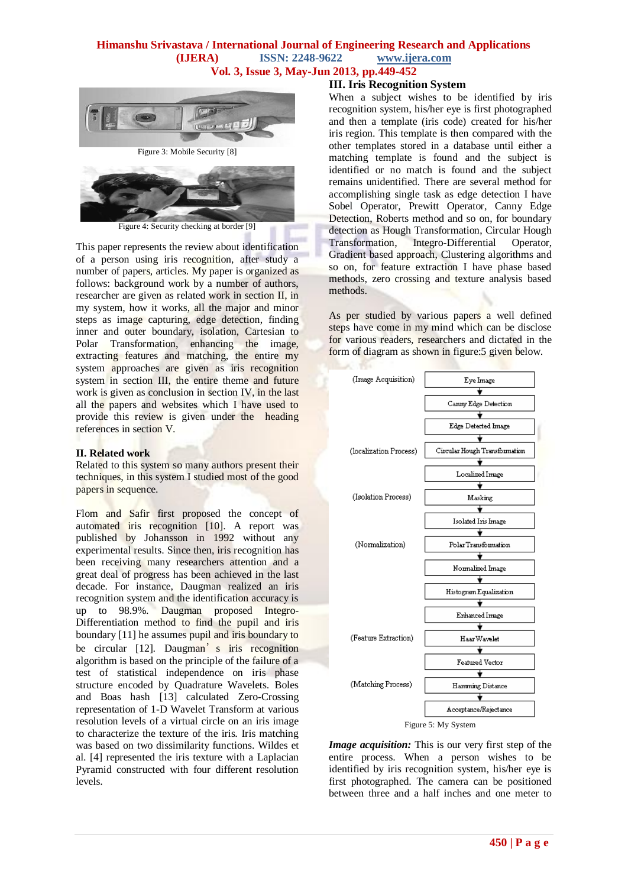

Figure 3: Mobile Security [8]



Figure 4: Security checking at border [9]

This paper represents the review about identification of a person using iris recognition, after study a number of papers, articles. My paper is organized as follows: background work by a number of authors, researcher are given as related work in section II, in my system, how it works, all the major and minor steps as image capturing, edge detection, finding inner and outer boundary, isolation, Cartesian to Polar Transformation, enhancing the image, extracting features and matching, the entire my system approaches are given as iris recognition system in section III, the entire theme and future work is given as conclusion in section IV, in the last all the papers and websites which I have used to provide this review is given under the heading references in section V.

### **II. Related work**

Related to this system so many authors present their techniques, in this system I studied most of the good papers in sequence.

Flom and Safir first proposed the concept of automated iris recognition [10]. A report was published by Johansson in 1992 without any experimental results. Since then, iris recognition has been receiving many researchers attention and a great deal of progress has been achieved in the last decade. For instance, Daugman realized an iris recognition system and the identification accuracy is up to 98.9%. Daugman proposed Integro-Differentiation method to find the pupil and iris boundary [11] he assumes pupil and iris boundary to be circular [12]. Daugman's iris recognition algorithm is based on the principle of the failure of a test of statistical independence on iris phase structure encoded by Quadrature Wavelets. Boles and Boas hash [13] calculated Zero-Crossing representation of 1-D Wavelet Transform at various resolution levels of a virtual circle on an iris image to characterize the texture of the iris. Iris matching was based on two dissimilarity functions. Wildes et al. [4] represented the iris texture with a Laplacian Pyramid constructed with four different resolution levels.

# **III. Iris Recognition System**

When a subject wishes to be identified by iris recognition system, his/her eye is first photographed and then a template (iris code) created for his/her iris region. This template is then compared with the other templates stored in a database until either a matching template is found and the subject is identified or no match is found and the subject remains unidentified. There are several method for accomplishing single task as edge detection I have Sobel Operator, Prewitt Operator, Canny Edge Detection, Roberts method and so on, for boundary detection as Hough Transformation, Circular Hough Transformation, Integro-Differential Operator, Gradient based approach, Clustering algorithms and so on, for feature extraction I have phase based methods, zero crossing and texture analysis based methods.

As per studied by various papers a well defined steps have come in my mind which can be disclose for various readers, researchers and dictated in the form of diagram as shown in figure:5 given below.



*Image acquisition:* This is our very first step of the entire process. When a person wishes to be identified by iris recognition system, his/her eye is first photographed. The camera can be positioned between three and a half inches and one meter to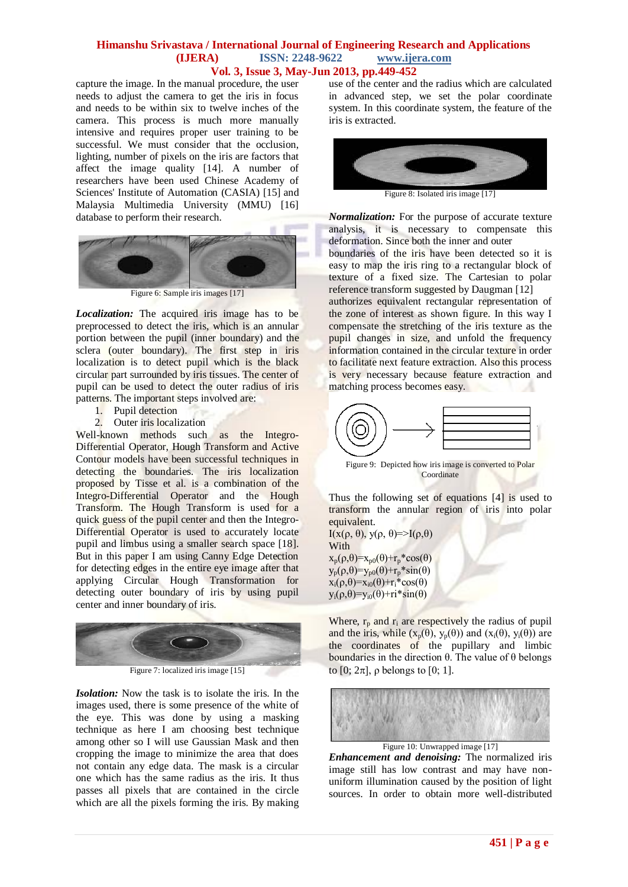capture the image. In the manual procedure, the user needs to adjust the camera to get the iris in focus and needs to be within six to twelve inches of the camera. This process is much more manually intensive and requires proper user training to be successful. We must consider that the occlusion, lighting, number of pixels on the iris are factors that affect the image quality [14]. A number of researchers have been used Chinese Academy of Sciences' Institute of Automation (CASIA) [15] and Malaysia Multimedia University (MMU) [16] database to perform their research.



Figure 6: Sample iris images [17]

*Localization:* The acquired iris image has to be preprocessed to detect the iris, which is an annular portion between the pupil (inner boundary) and the sclera (outer boundary). The first step in iris localization is to detect pupil which is the black circular part surrounded by iris tissues. The center of pupil can be used to detect the outer radius of iris patterns. The important steps involved are:

- 1. Pupil detection
- 2. Outer iris localization

Well-known methods such as the Integro-Differential Operator, Hough Transform and Active Contour models have been successful techniques in detecting the boundaries. The iris localization proposed by Tisse et al. is a combination of the Integro-Differential Operator and the Hough Transform. The Hough Transform is used for a quick guess of the pupil center and then the Integro-Differential Operator is used to accurately locate pupil and limbus using a smaller search space [18]. But in this paper I am using Canny Edge Detection for detecting edges in the entire eye image after that applying Circular Hough Transformation for detecting outer boundary of iris by using pupil center and inner boundary of iris.



*Isolation:* Now the task is to isolate the iris. In the

images used, there is some presence of the white of the eye. This was done by using a masking technique as here I am choosing best technique among other so I will use Gaussian Mask and then cropping the image to minimize the area that does not contain any edge data. The mask is a circular one which has the same radius as the iris. It thus passes all pixels that are contained in the circle which are all the pixels forming the iris. By making

use of the center and the radius which are calculated in advanced step, we set the polar coordinate system. In this coordinate system, the feature of the iris is extracted.



Figure 8: Isolated iris image [17]

*Normalization:* For the purpose of accurate texture analysis, it is necessary to compensate this deformation. Since both the inner and outer

boundaries of the iris have been detected so it is easy to map the iris ring to a rectangular block of texture of a fixed size. The Cartesian to polar reference transform suggested by Daugman [12]

authorizes equivalent rectangular representation of the zone of interest as shown figure. In this way I compensate the stretching of the iris texture as the pupil changes in size, and unfold the frequency information contained in the circular texture in order to facilitate next feature extraction. Also this process is very necessary because feature extraction and matching process becomes easy.



Figure 9: Depicted how iris image is converted to Polar Coordinate

Thus the following set of equations [4] is used to transform the annular region of iris into polar equivalent. I(x(ρ, θ), y(ρ, θ)=>I(ρ,θ)

With  $x_p(\rho,\theta)=x_{p0}(\theta)+r_p*\cos(\theta)$  $y_p(\rho,\theta)=y_{p0}(\theta)+r_p*sin(\theta)$  $x_i(\rho,\theta)=x_{i0}(\theta)+r_i*\cos(\theta)$  $y_i(\rho,\theta)=y_{i0}(\theta)+ri*sin(\theta)$ 

Where,  $r_p$  and  $r_i$  are respectively the radius of pupil and the iris, while  $(x_p(\theta), y_p(\theta))$  and  $(x_i(\theta), y_i(\theta))$  are the coordinates of the pupillary and limbic boundaries in the direction θ. The value of θ belongs to  $[0; 2\pi]$ ,  $\rho$  belongs to  $[0; 1]$ .



Figure 10: Unwrapped image [17]

*Enhancement and denoising:* The normalized iris image still has low contrast and may have nonuniform illumination caused by the position of light sources. In order to obtain more well-distributed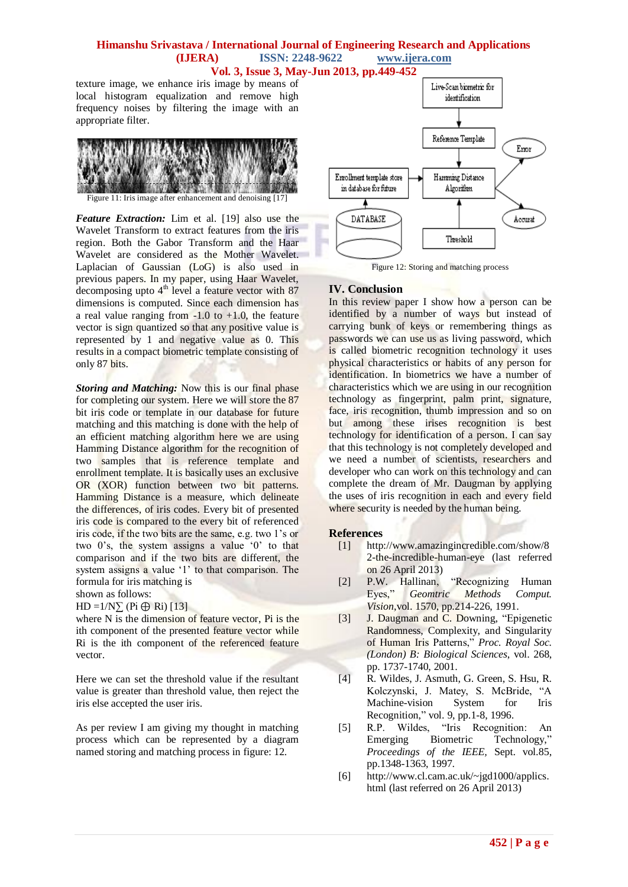texture image, we enhance iris image by means of local histogram equalization and remove high frequency noises by filtering the image with an appropriate filter.



Figure 11: Iris image after enhancement and denoising [17]

*Feature Extraction:* Lim et al. [19] also use the Wavelet Transform to extract features from the iris region. Both the Gabor Transform and the Haar Wavelet are considered as the Mother Wavelet. Laplacian of Gaussian (LoG) is also used in previous papers. In my paper, using Haar Wavelet, decomposing upto  $4<sup>th</sup>$  level a feature vector with 87 dimensions is computed. Since each dimension has a real value ranging from  $-1.0$  to  $+1.0$ , the feature vector is sign quantized so that any positive value is represented by 1 and negative value as 0. This results in a compact biometric template consisting of only 87 bits.

*Storing and Matching:* Now this is our final phase for completing our system. Here we will store the 87 bit iris code or template in our database for future matching and this matching is done with the help of an efficient matching algorithm here we are using Hamming Distance algorithm for the recognition of two samples that is reference template and enrollment template. It is basically uses an exclusive OR (XOR) function between two bit patterns. Hamming Distance is a measure, which delineate the differences, of iris codes. Every bit of presented iris code is compared to the every bit of referenced iris code, if the two bits are the same, e.g. two 1"s or two 0's, the system assigns a value '0' to that comparison and if the two bits are different, the system assigns a value '1' to that comparison. The formula for iris matching is

shown as follows:

 $HD = 1/N\sum (Pi \oplus Ri)$  [13]

where  $N$  is the dimension of feature vector, Pi is the ith component of the presented feature vector while Ri is the ith component of the referenced feature vector.

Here we can set the threshold value if the resultant value is greater than threshold value, then reject the iris else accepted the user iris.

As per review I am giving my thought in matching process which can be represented by a diagram named storing and matching process in figure: 12.



Figure 12: Storing and matching process

### **IV. Conclusion**

In this review paper I show how a person can be identified by a number of ways but instead of carrying bunk of keys or remembering things as passwords we can use us as living password, which is called biometric recognition technology it uses physical characteristics or habits of any person for identification. In biometrics we have a number of characteristics which we are using in our recognition technology as fingerprint, palm print, signature, face, iris recognition, thumb impression and so on but among these irises recognition is best technology for identification of a person. I can say that this technology is not completely developed and we need a number of scientists, researchers and developer who can work on this technology and can complete the dream of Mr. Daugman by applying the uses of iris recognition in each and every field where security is needed by the human being.

### **References**

- [1] http://www.amazingincredible.com/show/8 2-the-incredible-human-eye (last referred on 26 April 2013)
- [2] P.W. Hallinan, "Recognizing Human Eyes," *Geomtric Methods Comput. Vision*,vol. 1570, pp.214-226, 1991.
- [3] J. Daugman and C. Downing, "Epigenetic Randomness, Complexity, and Singularity of Human Iris Patterns," *Proc. Royal Soc. (London) B: Biological Sciences*, vol. 268, pp. 1737-1740, 2001.
- [4] R. Wildes, J. Asmuth, G. Green, S. Hsu, R. Kolczynski, J. Matey, S. McBride, "A Machine-vision System for Iris Recognition," vol. 9, pp.1-8, 1996.
- [5] R.P. Wildes, "Iris Recognition: An Emerging Biometric Technology," *Proceedings of the IEEE,* Sept. vol.85, pp.1348-1363, 1997.
- [6] http://www.cl.cam.ac.uk/~jgd1000/applics. html (last referred on 26 April 2013)